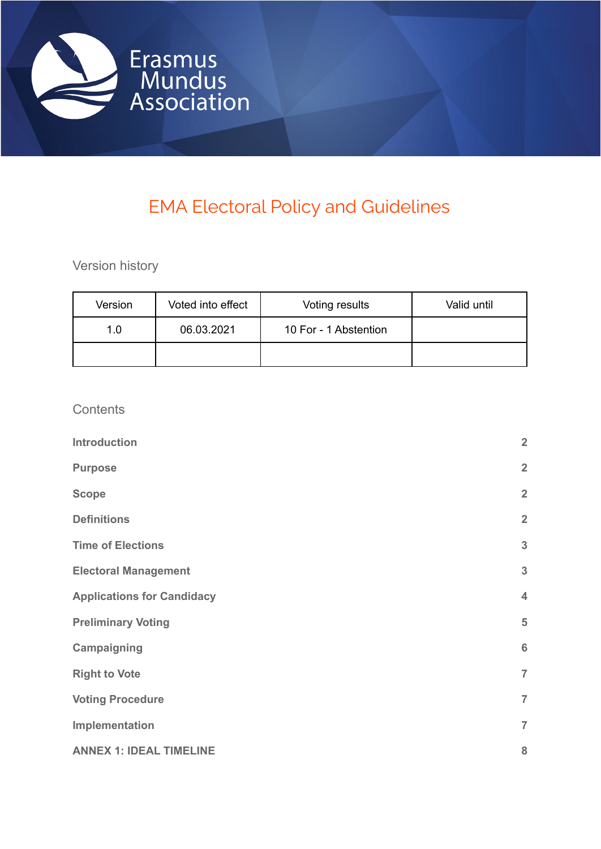

# EMA Electoral Policy and Guidelines

Version history

| Version | Voted into effect | Voting results        | Valid until |
|---------|-------------------|-----------------------|-------------|
| 1.0     | 06.03.2021        | 10 For - 1 Abstention |             |
|         |                   |                       |             |

**Contents** 

| <b>Introduction</b>               | $\overline{2}$          |
|-----------------------------------|-------------------------|
| <b>Purpose</b>                    | $\overline{2}$          |
| <b>Scope</b>                      | $\overline{2}$          |
| <b>Definitions</b>                | $\overline{2}$          |
| <b>Time of Elections</b>          | $\mathbf{3}$            |
| <b>Electoral Management</b>       | $\mathbf{3}$            |
| <b>Applications for Candidacy</b> | $\overline{\mathbf{4}}$ |
| <b>Preliminary Voting</b>         | 5                       |
| Campaigning                       | $6\phantom{1}6$         |
| <b>Right to Vote</b>              | $\overline{7}$          |
| <b>Voting Procedure</b>           | $\overline{7}$          |
| Implementation                    | $\overline{7}$          |
| <b>ANNEX 1: IDEAL TIMELINE</b>    | 8                       |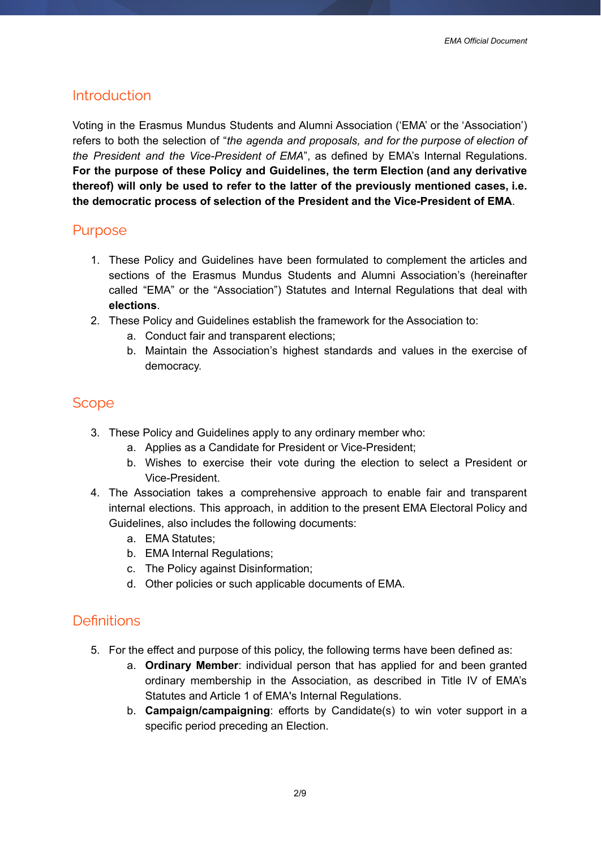## <span id="page-1-0"></span>**Introduction**

Voting in the Erasmus Mundus Students and Alumni Association ('EMA' or the 'Association') refers to both the selection of "*the agenda and proposals, and for the purpose of election of the President and the Vice-President of EMA*", as defined by EMA's Internal Regulations. **For the purpose of these Policy and Guidelines, the term Election (and any derivative thereof) will only be used to refer to the latter of the previously mentioned cases, i.e. the democratic process of selection of the President and the Vice-President of EMA**.

#### <span id="page-1-1"></span>Purpose

- 1. These Policy and Guidelines have been formulated to complement the articles and sections of the Erasmus Mundus Students and Alumni Association's (hereinafter called "EMA" or the "Association") Statutes and Internal Regulations that deal with **elections**.
- 2. These Policy and Guidelines establish the framework for the Association to:
	- a. Conduct fair and transparent elections;
	- b. Maintain the Association's highest standards and values in the exercise of democracy.

## <span id="page-1-2"></span>**Scope**

- 3. These Policy and Guidelines apply to any ordinary member who:
	- a. Applies as a Candidate for President or Vice-President;
	- b. Wishes to exercise their vote during the election to select a President or Vice-President.
- 4. The Association takes a comprehensive approach to enable fair and transparent internal elections. This approach, in addition to the present EMA Electoral Policy and Guidelines, also includes the following documents:
	- a. EMA Statutes;
	- b. EMA Internal Regulations;
	- c. The Policy against Disinformation;
	- d. Other policies or such applicable documents of EMA.

## <span id="page-1-3"></span>**Definitions**

- 5. For the effect and purpose of this policy, the following terms have been defined as:
	- a. **Ordinary Member**: individual person that has applied for and been granted ordinary membership in the Association, as described in Title IV of EMA's Statutes and Article 1 of EMA's Internal Regulations.
	- b. **Campaign/campaigning**: efforts by Candidate(s) to win voter support in a specific period preceding an Election.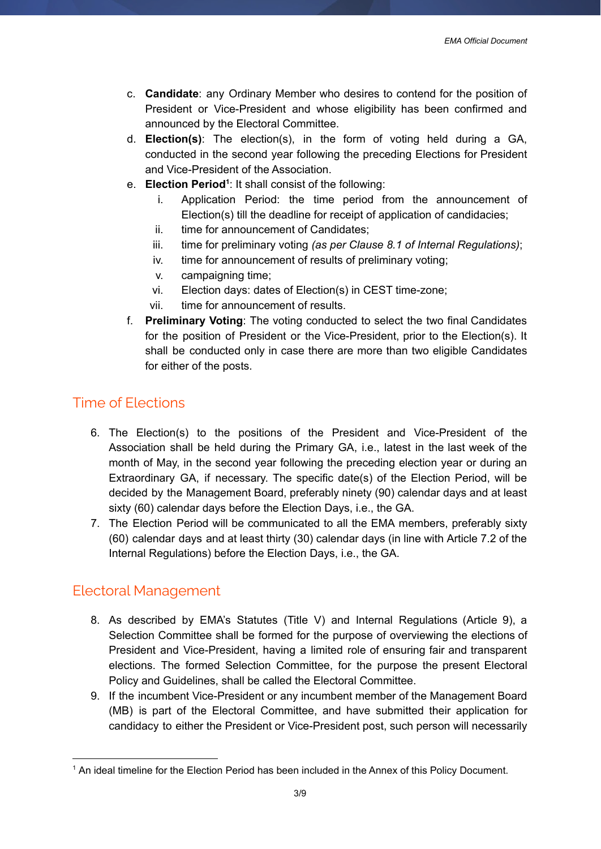- c. **Candidate**: any Ordinary Member who desires to contend for the position of President or Vice-President and whose eligibility has been confirmed and announced by the Electoral Committee.
- d. **Election(s)**: The election(s), in the form of voting held during a GA, conducted in the second year following the preceding Elections for President and Vice-President of the Association.
- e. Election Period<sup>1</sup>: It shall consist of the following:
	- i. Application Period: the time period from the announcement of Election(s) till the deadline for receipt of application of candidacies;
	- ii. time for announcement of Candidates;
	- iii. time for preliminary voting *(as per Clause 8.1 of Internal Regulations)*;
	- iv. time for announcement of results of preliminary voting;
	- v. campaigning time;
	- vi. Election days: dates of Election(s) in CEST time-zone;
	- vii. time for announcement of results.
- f. **Preliminary Voting**: The voting conducted to select the two final Candidates for the position of President or the Vice-President, prior to the Election(s). It shall be conducted only in case there are more than two eligible Candidates for either of the posts.

## <span id="page-2-0"></span>Time of Elections

- 6. The Election(s) to the positions of the President and Vice-President of the Association shall be held during the Primary GA, i.e., latest in the last week of the month of May, in the second year following the preceding election year or during an Extraordinary GA, if necessary. The specific date(s) of the Election Period, will be decided by the Management Board, preferably ninety (90) calendar days and at least sixty (60) calendar days before the Election Days, i.e., the GA.
- 7. The Election Period will be communicated to all the EMA members, preferably sixty (60) calendar days and at least thirty (30) calendar days (in line with Article 7.2 of the Internal Regulations) before the Election Days, i.e., the GA.

# <span id="page-2-1"></span>Electoral Management

- 8. As described by EMA's Statutes (Title V) and Internal Regulations (Article 9), a Selection Committee shall be formed for the purpose of overviewing the elections of President and Vice-President, having a limited role of ensuring fair and transparent elections. The formed Selection Committee, for the purpose the present Electoral Policy and Guidelines, shall be called the Electoral Committee.
- 9. If the incumbent Vice-President or any incumbent member of the Management Board (MB) is part of the Electoral Committee, and have submitted their application for candidacy to either the President or Vice-President post, such person will necessarily

<sup>&</sup>lt;sup>1</sup> An ideal timeline for the Election Period has been included in the Annex of this Policy Document.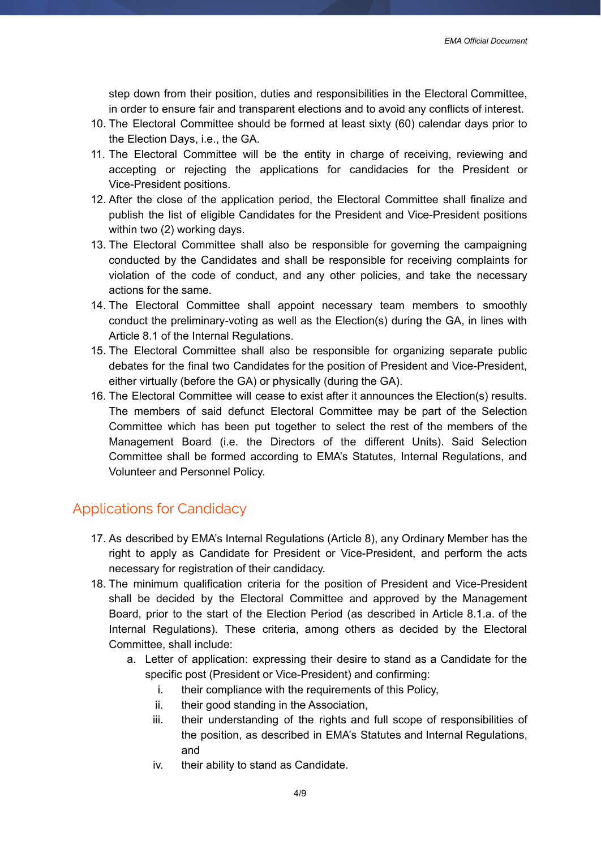step down from their position, duties and responsibilities in the Electoral Committee, in order to ensure fair and transparent elections and to avoid any conflicts of interest.

- 10. The Electoral Committee should be formed at least sixty (60) calendar days prior to the Election Days, i.e., the GA.
- 11. The Electoral Committee will be the entity in charge of receiving, reviewing and accepting or rejecting the applications for candidacies for the President or Vice-President positions.
- 12. After the close of the application period, the Electoral Committee shall finalize and publish the list of eligible Candidates for the President and Vice-President positions within two (2) working days.
- 13. The Electoral Committee shall also be responsible for governing the campaigning conducted by the Candidates and shall be responsible for receiving complaints for violation of the code of conduct, and any other policies, and take the necessary actions for the same.
- 14. The Electoral Committee shall appoint necessary team members to smoothly conduct the preliminary-voting as well as the Election(s) during the GA, in lines with Article 8.1 of the Internal Regulations.
- 15. The Electoral Committee shall also be responsible for organizing separate public debates for the final two Candidates for the position of President and Vice-President, either virtually (before the GA) or physically (during the GA).
- 16. The Electoral Committee will cease to exist after it announces the Election(s) results. The members of said defunct Electoral Committee may be part of the Selection Committee which has been put together to select the rest of the members of the Management Board (i.e. the Directors of the different Units). Said Selection Committee shall be formed according to EMA's Statutes, Internal Regulations, and Volunteer and Personnel Policy.

# <span id="page-3-0"></span>Applications for Candidacy

- 17. As described by EMA's Internal Regulations (Article 8), any Ordinary Member has the right to apply as Candidate for President or Vice-President, and perform the acts necessary for registration of their candidacy.
- 18. The minimum qualification criteria for the position of President and Vice-President shall be decided by the Electoral Committee and approved by the Management Board, prior to the start of the Election Period (as described in Article 8.1.a. of the Internal Regulations). These criteria, among others as decided by the Electoral Committee, shall include:
	- a. Letter of application: expressing their desire to stand as a Candidate for the specific post (President or Vice-President) and confirming:
		- i. their compliance with the requirements of this Policy,
		- ii. their good standing in the Association,
		- iii. their understanding of the rights and full scope of responsibilities of the position, as described in EMA's Statutes and Internal Regulations, and
		- iv. their ability to stand as Candidate.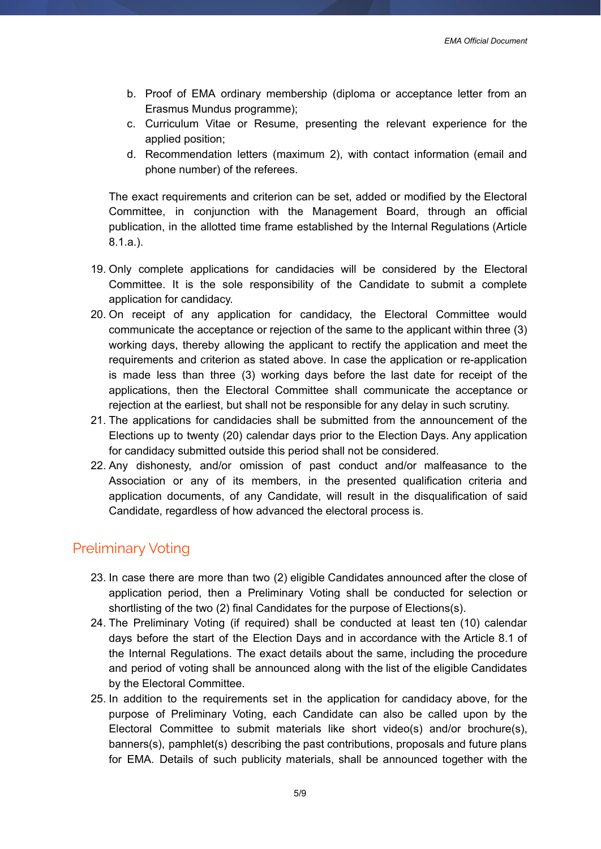- b. Proof of EMA ordinary membership (diploma or acceptance letter from an Erasmus Mundus programme);
- c. Curriculum Vitae or Resume, presenting the relevant experience for the applied position;
- d. Recommendation letters (maximum 2), with contact information (email and phone number) of the referees.

The exact requirements and criterion can be set, added or modified by the Electoral Committee, in conjunction with the Management Board, through an official publication, in the allotted time frame established by the Internal Regulations (Article 8.1.a.).

- 19. Only complete applications for candidacies will be considered by the Electoral Committee. It is the sole responsibility of the Candidate to submit a complete application for candidacy.
- 20. On receipt of any application for candidacy, the Electoral Committee would communicate the acceptance or rejection of the same to the applicant within three (3) working days, thereby allowing the applicant to rectify the application and meet the requirements and criterion as stated above. In case the application or re-application is made less than three (3) working days before the last date for receipt of the applications, then the Electoral Committee shall communicate the acceptance or rejection at the earliest, but shall not be responsible for any delay in such scrutiny.
- 21. The applications for candidacies shall be submitted from the announcement of the Elections up to twenty (20) calendar days prior to the Election Days. Any application for candidacy submitted outside this period shall not be considered.
- 22. Any dishonesty, and/or omission of past conduct and/or malfeasance to the Association or any of its members, in the presented qualification criteria and application documents, of any Candidate, will result in the disqualification of said Candidate, regardless of how advanced the electoral process is.

# <span id="page-4-0"></span>Preliminary Voting

- 23. In case there are more than two (2) eligible Candidates announced after the close of application period, then a Preliminary Voting shall be conducted for selection or shortlisting of the two (2) final Candidates for the purpose of Elections(s).
- 24. The Preliminary Voting (if required) shall be conducted at least ten (10) calendar days before the start of the Election Days and in accordance with the Article 8.1 of the Internal Regulations. The exact details about the same, including the procedure and period of voting shall be announced along with the list of the eligible Candidates by the Electoral Committee.
- 25. In addition to the requirements set in the application for candidacy above, for the purpose of Preliminary Voting, each Candidate can also be called upon by the Electoral Committee to submit materials like short video(s) and/or brochure(s), banners(s), pamphlet(s) describing the past contributions, proposals and future plans for EMA. Details of such publicity materials, shall be announced together with the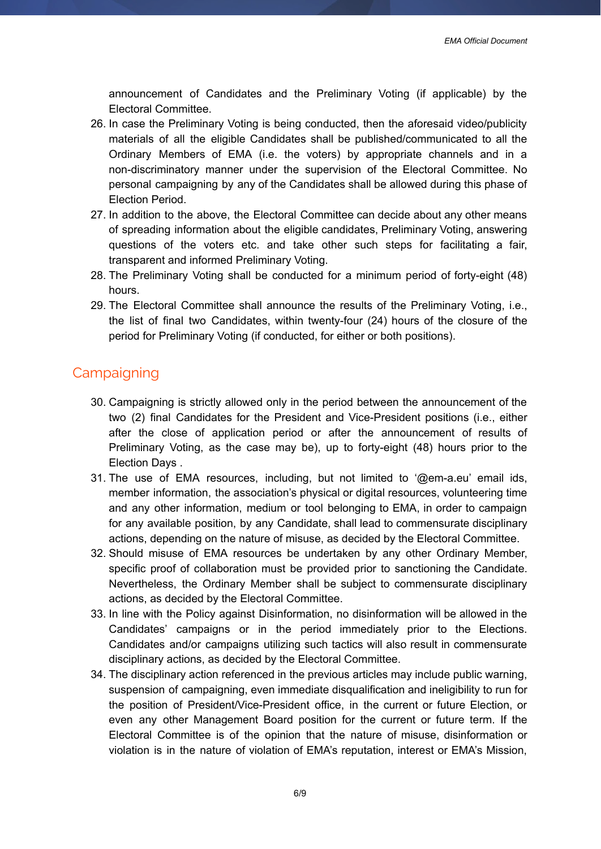announcement of Candidates and the Preliminary Voting (if applicable) by the Electoral Committee.

- 26. In case the Preliminary Voting is being conducted, then the aforesaid video/publicity materials of all the eligible Candidates shall be published/communicated to all the Ordinary Members of EMA (i.e. the voters) by appropriate channels and in a non-discriminatory manner under the supervision of the Electoral Committee. No personal campaigning by any of the Candidates shall be allowed during this phase of Election Period.
- 27. In addition to the above, the Electoral Committee can decide about any other means of spreading information about the eligible candidates, Preliminary Voting, answering questions of the voters etc. and take other such steps for facilitating a fair, transparent and informed Preliminary Voting.
- 28. The Preliminary Voting shall be conducted for a minimum period of forty-eight (48) hours.
- 29. The Electoral Committee shall announce the results of the Preliminary Voting, i.e., the list of final two Candidates, within twenty-four (24) hours of the closure of the period for Preliminary Voting (if conducted, for either or both positions).

## <span id="page-5-0"></span>**Campaigning**

- 30. Campaigning is strictly allowed only in the period between the announcement of the two (2) final Candidates for the President and Vice-President positions (i.e., either after the close of application period or after the announcement of results of Preliminary Voting, as the case may be), up to forty-eight (48) hours prior to the Election Days .
- 31. The use of EMA resources, including, but not limited to '@em-a.eu' email ids, member information, the association's physical or digital resources, volunteering time and any other information, medium or tool belonging to EMA, in order to campaign for any available position, by any Candidate, shall lead to commensurate disciplinary actions, depending on the nature of misuse, as decided by the Electoral Committee.
- 32. Should misuse of EMA resources be undertaken by any other Ordinary Member, specific proof of collaboration must be provided prior to sanctioning the Candidate. Nevertheless, the Ordinary Member shall be subject to commensurate disciplinary actions, as decided by the Electoral Committee.
- 33. In line with the Policy against Disinformation, no disinformation will be allowed in the Candidates' campaigns or in the period immediately prior to the Elections. Candidates and/or campaigns utilizing such tactics will also result in commensurate disciplinary actions, as decided by the Electoral Committee.
- 34. The disciplinary action referenced in the previous articles may include public warning, suspension of campaigning, even immediate disqualification and ineligibility to run for the position of President/Vice-President office, in the current or future Election, or even any other Management Board position for the current or future term. If the Electoral Committee is of the opinion that the nature of misuse, disinformation or violation is in the nature of violation of EMA's reputation, interest or EMA's Mission,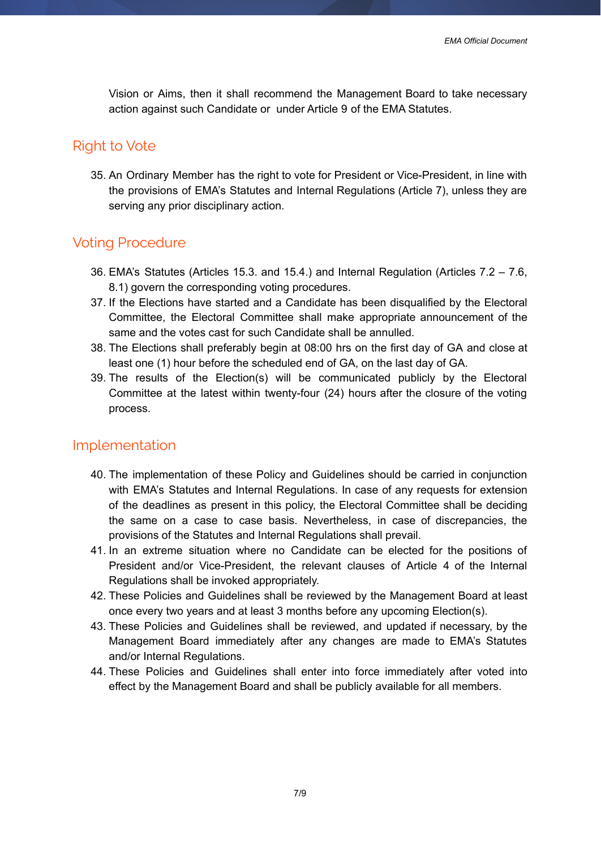Vision or Aims, then it shall recommend the Management Board to take necessary action against such Candidate or under Article 9 of the EMA Statutes.

# <span id="page-6-0"></span>Right to Vote

35. An Ordinary Member has the right to vote for President or Vice-President, in line with the provisions of EMA's Statutes and Internal Regulations (Article 7), unless they are serving any prior disciplinary action.

# <span id="page-6-1"></span>Voting Procedure

- 36. EMA's Statutes (Articles 15.3. and 15.4.) and Internal Regulation (Articles 7.2 7.6, 8.1) govern the corresponding voting procedures.
- 37. If the Elections have started and a Candidate has been disqualified by the Electoral Committee, the Electoral Committee shall make appropriate announcement of the same and the votes cast for such Candidate shall be annulled.
- 38. The Elections shall preferably begin at 08:00 hrs on the first day of GA and close at least one (1) hour before the scheduled end of GA, on the last day of GA.
- 39. The results of the Election(s) will be communicated publicly by the Electoral Committee at the latest within twenty-four (24) hours after the closure of the voting process.

## <span id="page-6-2"></span>Implementation

- 40. The implementation of these Policy and Guidelines should be carried in conjunction with EMA's Statutes and Internal Regulations. In case of any requests for extension of the deadlines as present in this policy, the Electoral Committee shall be deciding the same on a case to case basis. Nevertheless, in case of discrepancies, the provisions of the Statutes and Internal Regulations shall prevail.
- 41. In an extreme situation where no Candidate can be elected for the positions of President and/or Vice-President, the relevant clauses of Article 4 of the Internal Regulations shall be invoked appropriately.
- 42. These Policies and Guidelines shall be reviewed by the Management Board at least once every two years and at least 3 months before any upcoming Election(s).
- 43. These Policies and Guidelines shall be reviewed, and updated if necessary, by the Management Board immediately after any changes are made to EMA's Statutes and/or Internal Regulations.
- 44. These Policies and Guidelines shall enter into force immediately after voted into effect by the Management Board and shall be publicly available for all members.